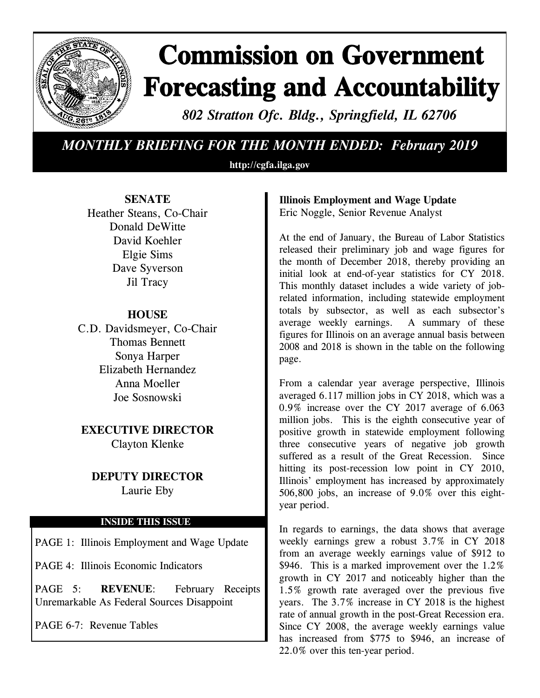

# **Commission on Government Forecasting and Accountability**

*802 Stratton Ofc. Bldg., Springfield, IL 62706*

## *MONTHLY BRIEFING FOR THE MONTH ENDED: February 2019*

**http://cgfa.ilga.gov**

### **SENATE**

Heather Steans, Co-Chair Donald DeWitte David Koehler Elgie Sims Dave Syverson Jil Tracy

### **HOUSE**

C.D. Davidsmeyer, Co-Chair Thomas Bennett Sonya Harper Elizabeth Hernandez Anna Moeller Joe Sosnowski

**EXECUTIVE DIRECTOR** Clayton Klenke

# **DEPUTY DIRECTOR**

Laurie Eby

### **INSIDE THIS ISSUE**

PAGE 1: Illinois Employment and Wage Update

PAGE 4: Illinois Economic Indicators

PAGE 5: **REVENUE**: February Receipts Unremarkable As Federal Sources Disappoint

PAGE 6-7: Revenue Tables

### **Illinois Employment and Wage Update** Eric Noggle, Senior Revenue Analyst

At the end of January, the Bureau of Labor Statistics released their preliminary job and wage figures for the month of December 2018, thereby providing an initial look at end-of-year statistics for CY 2018. This monthly dataset includes a wide variety of jobrelated information, including statewide employment totals by subsector, as well as each subsector's average weekly earnings. A summary of these figures for Illinois on an average annual basis between 2008 and 2018 is shown in the table on the following page.

From a calendar year average perspective, Illinois averaged 6.117 million jobs in CY 2018, which was a 0.9% increase over the CY 2017 average of 6.063 million jobs. This is the eighth consecutive year of positive growth in statewide employment following three consecutive years of negative job growth suffered as a result of the Great Recession. Since hitting its post-recession low point in CY 2010, Illinois' employment has increased by approximately 506,800 jobs, an increase of 9.0% over this eightyear period.

In regards to earnings, the data shows that average weekly earnings grew a robust 3.7% in CY 2018 from an average weekly earnings value of \$912 to \$946. This is a marked improvement over the 1.2% growth in CY 2017 and noticeably higher than the 1.5% growth rate averaged over the previous five years. The 3.7% increase in CY 2018 is the highest rate of annual growth in the post-Great Recession era. Since CY 2008, the average weekly earnings value has increased from \$775 to \$946, an increase of 22.0% over this ten-year period.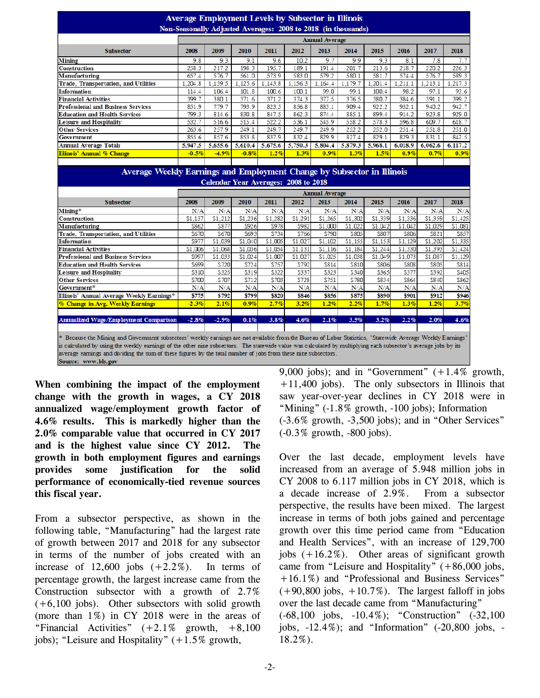| <b>Average Employment Levels by Subsector in Illinois</b><br>Non-Seasonally Adjusted Averages: 2008 to 2018 (in thousands) |                                                                      |         |         |         |         |         |         |         |         |         |                                                                                                                |
|----------------------------------------------------------------------------------------------------------------------------|----------------------------------------------------------------------|---------|---------|---------|---------|---------|---------|---------|---------|---------|----------------------------------------------------------------------------------------------------------------|
|                                                                                                                            | <b>Annual Average</b>                                                |         |         |         |         |         |         |         |         |         |                                                                                                                |
| <b>Subsector</b>                                                                                                           | 2008                                                                 | 2009    | 2010    | 2011    | 2012    | 2013    | 2014    | 2015    | 2016    | 2017    | 2018                                                                                                           |
| Mining                                                                                                                     | 9.8                                                                  | 9.3     | 9.1     | 9.6     | 10.2    | 9.7     | 9.9     | 9.3     | 8.1     | 7.8     | 7.7                                                                                                            |
| Construction                                                                                                               | 258.3                                                                | 217.2   | 198.3   | 195.7   | 189.1   | 191.4   | 201.7   | 213.6   | 218.7   | 220.2   | 226.3                                                                                                          |
| Manufacturing                                                                                                              | 657.4                                                                | 576.7   | 561.0   | 573.9   | 583.0   | 579.2   | 580.1   | 581.7   | 574.4   | 576.7   | 589.3                                                                                                          |
| Trade, Transportation, and Utilities                                                                                       | 1.204.8                                                              | 1.139.5 | 1.125.6 | 1.143.8 | 1,156.3 | 1.164.4 | 1,179.7 | 1,201.4 | 1.211.1 | 1,213.1 | 1.217.3                                                                                                        |
| Information                                                                                                                | 114.4                                                                | 106.4   | 101.8   | 100.6   | 100.1   | 99.0    | 99.1    | 100.4   | 98.2    | 97.1    | 93.6                                                                                                           |
| <b>Financial Activities</b>                                                                                                | 399.7                                                                | 380.1   | 371.6   | 371.2   | 374.3   | 377.5   | 376.5   | 380.7   | 384.6   | 391.1   | 399.2                                                                                                          |
| Professional and Business Services                                                                                         | 851.9                                                                | 779.7   | 793.9   | 823.5   | 856.8   | 883.1   | 909.4   | 922.2   | 932.1   | 940.2   | 942.7                                                                                                          |
| Education and Health Services                                                                                              | 799.3                                                                | 814.6   | 830.8   | 847.5   | 862.3   | 874.4   | 885.1   | 899.4   | 914.2   | 923.8   | 929.0                                                                                                          |
| Leisure and Hospitality                                                                                                    | 532.7                                                                | 516.6   | 515.4   | 522.2   | 536.1   | 545.9   | 558.2   | 578.3   | 596.8   | 609.7   | 618.7                                                                                                          |
| Other Services                                                                                                             | 263.6                                                                | 257.9   | 249.1   | 249.7   | 249.7   | 249.9   | 252.2   | 252.0   | 251.4   | 251.8   | 251.0                                                                                                          |
| Government                                                                                                                 | 855.6                                                                | 857.6   | 853.8   | 837.9   | 832.4   | 829.9   | 827.4   | 829.1   | 829.3   | 831.1   | 842.5                                                                                                          |
| Annual Average Totals                                                                                                      | 5,947.5                                                              | 5.655.6 | 5,610.4 | 5.675.6 | 5.750.3 | 5.804.4 | 5,879.3 | 5.968.1 | 6,018.9 | 6.062.6 | 6.117.2                                                                                                        |
| Illinois' Annual % Change                                                                                                  | $-0.5%$                                                              | $-4.9%$ | $-0.8%$ | 1.2%    | 1.3%    | 0.9%    | 1.3%    | 1.5%    | 0.9%    | 0.7%    | 0.9%                                                                                                           |
|                                                                                                                            |                                                                      |         |         |         |         |         |         |         |         |         |                                                                                                                |
|                                                                                                                            | <b>Calendar Year Averages: 2008 to 2018</b><br><b>Annual Average</b> |         |         |         |         |         |         |         |         |         |                                                                                                                |
|                                                                                                                            |                                                                      |         |         |         |         |         |         |         |         |         |                                                                                                                |
| <b>Subsector</b>                                                                                                           | 2008                                                                 | 2009    | 2010    | 2011    | 2012    | 2013    | 2014    | 2015    | 2016    | 2017    | 2018                                                                                                           |
| Mining*                                                                                                                    | N/A                                                                  | N/A     | N/A     | N/A     | N/A     | N/A     | N/A     | N/A     | N/A     | N/A     |                                                                                                                |
| Construction                                                                                                               | \$1.137                                                              | \$1.212 | \$1,236 | \$1.282 | \$1.291 | \$1.265 | \$1,302 | \$1.339 | \$1.336 | \$1.359 |                                                                                                                |
| Manufacturing                                                                                                              | \$862                                                                | \$877   | \$926   | \$978   | \$982   | \$1,000 | \$1,022 | \$1,042 | \$1,042 | \$1.029 |                                                                                                                |
| Trade, Transportation, and Utilities                                                                                       | \$670                                                                | \$670   | \$693   | \$734   | \$766   | \$790   | \$805   | \$807   | \$806   | \$821   |                                                                                                                |
| Information                                                                                                                | \$977                                                                | \$1.039 | \$1.040 | \$1.005 | \$1.027 | \$1.102 | \$1.155 | \$1.153 | \$1.129 | \$1.202 |                                                                                                                |
| <b>Financial Activities</b>                                                                                                | \$1.006                                                              | \$1,068 | \$1.036 | \$1.054 | \$1.131 | \$1.116 | \$1.184 | \$1.244 | \$1.330 | \$1.393 |                                                                                                                |
| Professional and Business Services                                                                                         | \$997                                                                | \$1,033 | \$1,024 | \$1,007 | \$1,027 | \$1,025 | \$1,038 | \$1,049 | \$1,073 | \$1,087 |                                                                                                                |
| <b>Education and Health Services</b>                                                                                       | \$699                                                                | \$720   | \$724   | \$757   | \$792   | \$814   | \$810   | \$806   | \$808   | \$805   |                                                                                                                |
| Leisure and Hospitality                                                                                                    | \$310                                                                | \$325   | \$319   | \$322   | \$337   | \$323   | \$340   | \$365   | \$377   | \$392   |                                                                                                                |
| <b>Other Services</b>                                                                                                      | \$700                                                                | \$707   | \$712   | \$703   | \$728   | \$751   | \$780   | \$834   | \$864   | \$840   |                                                                                                                |
| Government*                                                                                                                | N/A                                                                  | N/A     | N/A     | N/A     | N/A     | N/A     | N/A     | N/A     | N/A     | N/A     |                                                                                                                |
| Illinois' Annual Average Weekly Earnings*                                                                                  | \$775                                                                | \$792   | \$799   | \$820   | \$846   | \$856   | \$875   | \$890   | \$901   | \$912   | N/A<br>\$1.425<br>\$1,081<br>\$857<br>\$1,335<br>\$1,424<br>\$1,129<br>\$814<br>\$405<br>\$862<br>N/A<br>\$946 |
| 6 Change in Avg. Weekly Earnings                                                                                           | $-2.3%$                                                              | 2.1%    | 0.9%    | 2.7%    | 3.2%    | 1.2%    | 2.2%    | 1.7%    | 1.3%    | 1.2%    | 3.7%                                                                                                           |
| <b>Annualized Wage/Employment Comparison</b>                                                                               | $-2.8%$                                                              | $-2.9%$ | 0.1%    | 3.8%    | 4.6%    | 2.1%    | 3.5%    | 3.2%    | 2.2%    | 2.0%    | 4.6%                                                                                                           |

**When combining the impact of the employment change with the growth in wages, a CY 2018 annualized wage/employment growth factor of 4.6% results. This is markedly higher than the 2.0% comparable value that occurred in CY 2017 and is the highest value since CY 2012. The growth in both employment figures and earnings provides some justification for the solid performance of economically-tied revenue sources this fiscal year.** 

From a subsector perspective, as shown in the following table, "Manufacturing" had the largest rate of growth between 2017 and 2018 for any subsector in terms of the number of jobs created with an increase of  $12,600$  jobs  $(+2.2\%)$ . In terms of percentage growth, the largest increase came from the Construction subsector with a growth of 2.7%  $(+6,100)$  jobs). Other subsectors with solid growth (more than 1%) in CY 2018 were in the areas of "Financial Activities" (+2.1% growth, +8,100 jobs); "Leisure and Hospitality" (+1.5% growth,

9,000 jobs); and in "Government" (+1.4% growth, +11,400 jobs). The only subsectors in Illinois that saw year-over-year declines in CY 2018 were in "Mining" (-1.8% growth, -100 jobs); Information (-3.6% growth, -3,500 jobs); and in "Other Services" (-0.3% growth, -800 jobs).

Over the last decade, employment levels have increased from an average of 5.948 million jobs in CY 2008 to 6.117 million jobs in CY 2018, which is a decade increase of 2.9%. From a subsector perspective, the results have been mixed. The largest increase in terms of both jobs gained and percentage growth over this time period came from "Education and Health Services", with an increase of 129,700 jobs  $(+16.2\%)$ . Other areas of significant growth came from "Leisure and Hospitality" (+86,000 jobs, +16.1%) and "Professional and Business Services"  $(+90,800)$  jobs,  $+10.7\%$ ). The largest falloff in jobs over the last decade came from "Manufacturing" (-68,100 jobs, -10.4%); "Construction" (-32,100 jobs, -12.4%); and "Information" (-20,800 jobs, - 18.2%).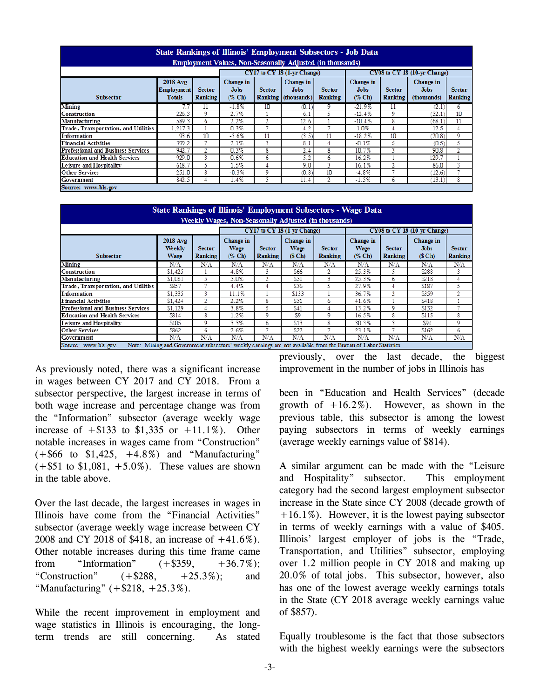| <b>State Rankings of Illinois' Employment Subsectors - Job Data</b><br><b>Employment Values, Non-Seasonally Adjusted (in thousands)</b> |                                                       |                          |                                                                                                                                         |    |       |    |                                    |                          |                                         |                                 |
|-----------------------------------------------------------------------------------------------------------------------------------------|-------------------------------------------------------|--------------------------|-----------------------------------------------------------------------------------------------------------------------------------------|----|-------|----|------------------------------------|--------------------------|-----------------------------------------|---------------------------------|
|                                                                                                                                         |                                                       |                          | CY17 to CY 18 (1-vr Change)                                                                                                             |    |       |    | CY08 to CY 18 (10-vr Change)       |                          |                                         |                                 |
| <b>Subsector</b>                                                                                                                        | <b>2018 Avg</b><br><b>Employment</b><br><b>Totals</b> | <b>Sector</b><br>Ranking | Change in<br>Change in<br><b>Jobs</b><br><b>Sector</b><br><b>Jobs</b><br><b>Sector</b><br>$(\%$ Ch<br>Ranking<br>Ranking<br>(thousands) |    |       |    | Change in<br><b>Jobs</b><br>(% Ch) | <b>Sector</b><br>Ranking | Change in<br><b>Jobs</b><br>(thousands) | <b>Sector</b><br><b>Ranking</b> |
| Mining                                                                                                                                  | 7.7                                                   | 11                       | $-1.8%$                                                                                                                                 | 10 | (0.1) | 9  | $-21.9%$                           | 11                       | (2.1                                    | 6                               |
| Construction                                                                                                                            | 226.3                                                 | 9                        | 2.7%                                                                                                                                    |    | 6.1   | 5  | $-12.4%$                           | 9                        | 32.1)                                   | 10                              |
| Manufacturing                                                                                                                           | 589.3                                                 | 6                        | 2.2%                                                                                                                                    | 2  | 12.6  |    | $-10.4%$                           | 8                        | (68.1)                                  | 11                              |
| Trade, Transportation, and Utilities                                                                                                    | 1.217.3                                               |                          | 0.3%                                                                                                                                    | Ξ  | 4.2   |    | 1.0%                               | 4                        | 12.5                                    | 4                               |
| Information                                                                                                                             | 93.6                                                  | 10                       | $-3.6%$                                                                                                                                 | 11 | (3.5) | 11 | $-18.2%$                           | 10                       | (20.8)                                  | 9                               |
| <b>Financial Activities</b>                                                                                                             | 399.2                                                 |                          | 2.1%                                                                                                                                    | 3  | 8.1   |    | $-0.1%$                            | 5                        | (0.5)                                   | 5                               |
| <b>Professional and Business Services</b>                                                                                               | 942.7                                                 | 2                        | 0.3%                                                                                                                                    | 8  | 2.4   | 8  | 10.7%                              | 3                        | 90.8                                    | 2                               |
| <b>Education and Health Services</b>                                                                                                    | 929.0                                                 | 3                        | 0.6%                                                                                                                                    | 6  | 5.2   | 6  | 16.2%                              |                          | 129.7                                   |                                 |
| Leisure and Hospitality                                                                                                                 | 618.7                                                 | 5.                       | 1.5%                                                                                                                                    | 4  | 9.0   | з  | 16.1%                              | 2                        | 86.0                                    | 3                               |
| <b>Other Services</b>                                                                                                                   | 251.0                                                 | 8                        | $-0.3%$                                                                                                                                 | 9  | (0.8) | 10 | $-4.8%$                            | ÷                        | (12.6)                                  | -                               |
| Government                                                                                                                              | 842.5                                                 | 4                        | 1.4%                                                                                                                                    | 5  | 11.4  | 2  | $-1.5%$                            | 6                        | (13.1)                                  | 8                               |
| Source: www.bls.gov                                                                                                                     |                                                       |                          |                                                                                                                                         |    |       |    |                                    |                          |                                         |                                 |

| <b>State Rankings of Illinois' Employment Subsectors - Wage Data</b><br>Weekly Wages, Non-Seasonally Adjusted (in thousands) |                                                                                                               |                          |                             |                                                                                     |       |                |                              |                          |                                   |                          |
|------------------------------------------------------------------------------------------------------------------------------|---------------------------------------------------------------------------------------------------------------|--------------------------|-----------------------------|-------------------------------------------------------------------------------------|-------|----------------|------------------------------|--------------------------|-----------------------------------|--------------------------|
|                                                                                                                              |                                                                                                               |                          | CY17 to CY 18 (1-yr Change) |                                                                                     |       |                | CY08 to CY 18 (10-yr Change) |                          |                                   |                          |
| <b>Subsector</b>                                                                                                             | <b>2018 Avg</b><br>Weekly<br>Wage                                                                             | <b>Sector</b><br>Ranking | Change in<br>Wage<br>(% Ch) | Change in<br>Wage<br><b>Sector</b><br><b>Sector</b><br>(S Ch)<br>Ranking<br>Ranking |       |                |                              | <b>Sector</b><br>Ranking | Change in<br><b>Jobs</b><br>(SCh) | <b>Sector</b><br>Ranking |
| Mining                                                                                                                       | N/A                                                                                                           | N/A                      | N/A                         | N/A                                                                                 | N/A   | N/A            | N/A                          | N/A                      | N/A                               | N/A                      |
| Construction                                                                                                                 | \$1.425                                                                                                       |                          | 4.8%                        | 3                                                                                   | \$66  | $\overline{2}$ | 25.3%                        | 5                        | \$288                             | 3                        |
| Manufacturing                                                                                                                | \$1.081                                                                                                       | 5                        | 5.0%                        | 2                                                                                   | \$51  | 3              | 25.3%                        | 6                        | \$218                             | 4                        |
| Trade, Transportation, and Utilities                                                                                         | \$857                                                                                                         |                          | 4.4%                        | 4                                                                                   | \$36  | 5              | 27.9%                        | 4                        | \$187                             | 5                        |
| Information                                                                                                                  | \$1.335                                                                                                       | 3                        | 11.1%                       |                                                                                     | \$133 |                | 36.7%                        | $\mathfrak{D}$           | \$359                             | $\mathfrak{D}$           |
| Financial Activities                                                                                                         | \$1.424                                                                                                       | 2                        | 2.2%                        | 8                                                                                   | \$31  | 6              | 41.6%                        |                          | \$418                             |                          |
| Professional and Business Services                                                                                           | \$1.129                                                                                                       | 4                        | 3.8%                        | 5                                                                                   | \$41  |                | 13.2%                        | 9                        | \$132                             |                          |
| <b>Education and Health Services</b>                                                                                         | \$814                                                                                                         | 8                        | $1.2\%$                     | 9                                                                                   | \$9   | 9              | 16.5%                        | 8                        | \$115                             | 8                        |
| Leisure and Hospitality                                                                                                      | \$405                                                                                                         | 9                        | 3.3%                        | 6                                                                                   | \$13  | 8              | 30.3%                        | 3                        | \$94                              | 9                        |
| Other Services                                                                                                               | \$862                                                                                                         | 6                        | 2.6%                        |                                                                                     | \$22  |                | 23.1%                        | ÷                        | \$162                             | 6                        |
| Government                                                                                                                   | N/A                                                                                                           | N/A                      | N/A                         | N/A                                                                                 | N/A   | N/A            | N/A                          | N/A                      | N/A                               | N/A                      |
| Source: www.bls.gov.                                                                                                         | Note: Mining and Government subsectors' weekly earnings are not available from the Bureau of Labor Statistics |                          |                             |                                                                                     |       |                |                              |                          |                                   |                          |

As previously noted, there was a significant increase in wages between CY 2017 and CY 2018. From a subsector perspective, the largest increase in terms of both wage increase and percentage change was from the "Information" subsector (average weekly wage increase of  $+ $133$  to \$1,335 or  $+ 11.1\%$ ). Other notable increases in wages came from "Construction"  $(+\$66 \text{ to } \$1,425, +4.8\%)$  and "Manufacturing"  $(+\$51 \text{ to } \$1,081, +5.0\%)$ . These values are shown in the table above.

Over the last decade, the largest increases in wages in Illinois have come from the "Financial Activities" subsector (average weekly wage increase between CY 2008 and CY 2018 of \$418, an increase of +41.6%). Other notable increases during this time frame came from "Information"  $(+\$359, +36.7\%)$ ; "Construction"  $(+\$288, +25.3\%)$ ; and "Manufacturing"  $(+\$218, +25.3\%)$ .

While the recent improvement in employment and wage statistics in Illinois is encouraging, the longterm trends are still concerning. As stated previously, over the last decade, the biggest improvement in the number of jobs in Illinois has

been in "Education and Health Services" (decade growth of  $+16.2\%$ ). However, as shown in the previous table, this subsector is among the lowest paying subsectors in terms of weekly earnings (average weekly earnings value of \$814).

A similar argument can be made with the "Leisure and Hospitality" subsector. This employment category had the second largest employment subsector increase in the State since CY 2008 (decade growth of  $+16.1\%$ ). However, it is the lowest paying subsector in terms of weekly earnings with a value of \$405. Illinois' largest employer of jobs is the "Trade, Transportation, and Utilities" subsector, employing over 1.2 million people in CY 2018 and making up 20.0% of total jobs. This subsector, however, also has one of the lowest average weekly earnings totals in the State (CY 2018 average weekly earnings value of \$857).

Equally troublesome is the fact that those subsectors with the highest weekly earnings were the subsectors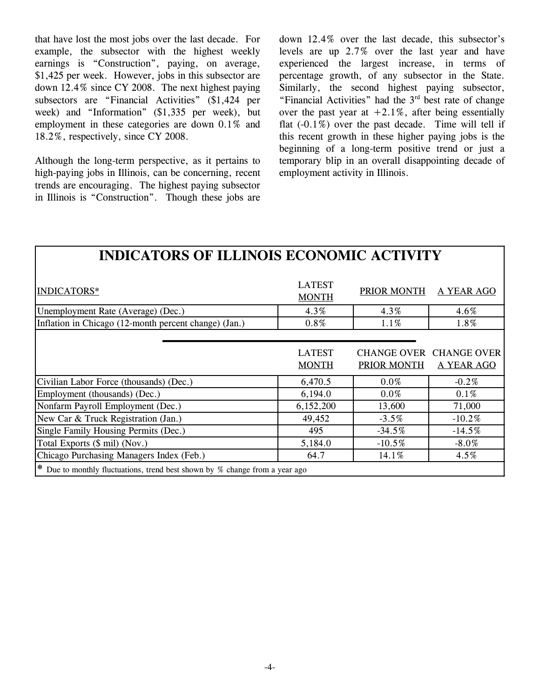that have lost the most jobs over the last decade. For example, the subsector with the highest weekly earnings is "Construction", paying, on average, \$1,425 per week. However, jobs in this subsector are down 12.4% since CY 2008. The next highest paying subsectors are "Financial Activities" (\$1,424 per week) and "Information" (\$1,335 per week), but employment in these categories are down 0.1% and 18.2%, respectively, since CY 2008.

Although the long-term perspective, as it pertains to high-paying jobs in Illinois, can be concerning, recent trends are encouraging. The highest paying subsector in Illinois is "Construction". Though these jobs are down 12.4% over the last decade, this subsector's levels are up 2.7% over the last year and have experienced the largest increase, in terms of percentage growth, of any subsector in the State. Similarly, the second highest paying subsector, "Financial Activities" had the  $3<sup>rd</sup>$  best rate of change over the past year at  $+2.1\%$ , after being essentially flat  $(-0.1\%)$  over the past decade. Time will tell if this recent growth in these higher paying jobs is the beginning of a long-term positive trend or just a temporary blip in an overall disappointing decade of employment activity in Illinois.

### **INDICATORS OF ILLINOIS ECONOMIC ACTIVITY**

| INDICATORS*                                                                        | <b>LATEST</b><br><b>MONTH</b> | PRIOR MONTH        | A YEAR AGO              |
|------------------------------------------------------------------------------------|-------------------------------|--------------------|-------------------------|
| Unemployment Rate (Average) (Dec.)                                                 | 4.3%                          | 4.3%               | 4.6%                    |
| Inflation in Chicago (12-month percent change) (Jan.)                              | $0.8\%$                       | $1.1\%$            | 1.8%                    |
|                                                                                    |                               |                    |                         |
|                                                                                    | <b>LATEST</b>                 |                    | CHANGE OVER CHANGE OVER |
|                                                                                    | <b>MONTH</b>                  | <b>PRIOR MONTH</b> | <b>A YEAR AGO</b>       |
| Civilian Labor Force (thousands) (Dec.)                                            | 6,470.5                       | $0.0\%$            | $-0.2\%$                |
| Employment (thousands) (Dec.)                                                      | 6,194.0                       | $0.0\%$            | $0.1\%$                 |
| Nonfarm Payroll Employment (Dec.)                                                  | 6,152,200                     | 13,600             | 71,000                  |
| New Car & Truck Registration (Jan.)                                                | 49,452                        | $-3.5%$            | $-10.2%$                |
| Single Family Housing Permits (Dec.)                                               | 495                           | $-34.5%$           | $-14.5%$                |
| Total Exports (\$ mil) (Nov.)                                                      | 5,184.0                       | $-10.5\%$          | $-8.0\%$                |
| Chicago Purchasing Managers Index (Feb.)                                           | 64.7                          | 14.1%              | $4.5\%$                 |
| <b>*</b> Due to monthly fluctuations, trend best shown by % change from a year ago |                               |                    |                         |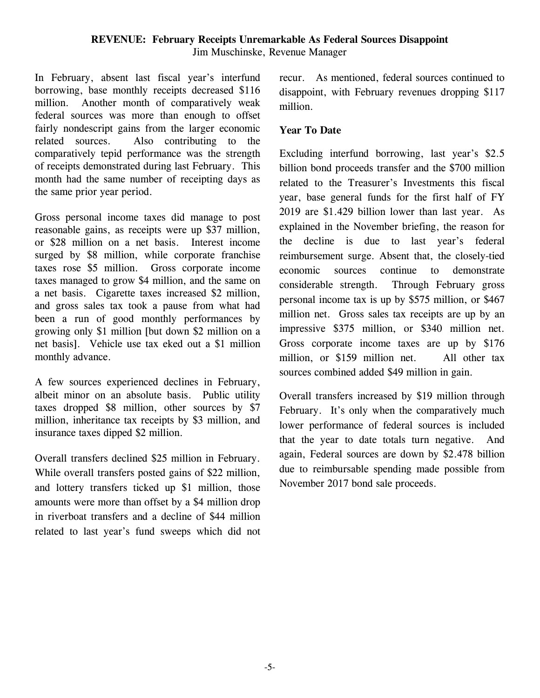In February, absent last fiscal year's interfund borrowing, base monthly receipts decreased \$116 million. Another month of comparatively weak federal sources was more than enough to offset fairly nondescript gains from the larger economic related sources. Also contributing to the comparatively tepid performance was the strength of receipts demonstrated during last February. This month had the same number of receipting days as the same prior year period.

Gross personal income taxes did manage to post reasonable gains, as receipts were up \$37 million, or \$28 million on a net basis. Interest income surged by \$8 million, while corporate franchise taxes rose \$5 million. Gross corporate income taxes managed to grow \$4 million, and the same on a net basis. Cigarette taxes increased \$2 million, and gross sales tax took a pause from what had been a run of good monthly performances by growing only \$1 million [but down \$2 million on a net basis]. Vehicle use tax eked out a \$1 million monthly advance.

A few sources experienced declines in February, albeit minor on an absolute basis. Public utility taxes dropped \$8 million, other sources by \$7 million, inheritance tax receipts by \$3 million, and insurance taxes dipped \$2 million.

Overall transfers declined \$25 million in February. While overall transfers posted gains of \$22 million, and lottery transfers ticked up \$1 million, those amounts were more than offset by a \$4 million drop in riverboat transfers and a decline of \$44 million related to last year's fund sweeps which did not recur. As mentioned, federal sources continued to disappoint, with February revenues dropping \$117 million.

### **Year To Date**

Excluding interfund borrowing, last year's \$2.5 billion bond proceeds transfer and the \$700 million related to the Treasurer's Investments this fiscal year, base general funds for the first half of FY 2019 are \$1.429 billion lower than last year. As explained in the November briefing, the reason for the decline is due to last year's federal reimbursement surge. Absent that, the closely-tied economic sources continue to demonstrate considerable strength. Through February gross personal income tax is up by \$575 million, or \$467 million net. Gross sales tax receipts are up by an impressive \$375 million, or \$340 million net. Gross corporate income taxes are up by \$176 million, or \$159 million net. All other tax sources combined added \$49 million in gain.

Overall transfers increased by \$19 million through February. It's only when the comparatively much lower performance of federal sources is included that the year to date totals turn negative. And again, Federal sources are down by \$2.478 billion due to reimbursable spending made possible from November 2017 bond sale proceeds.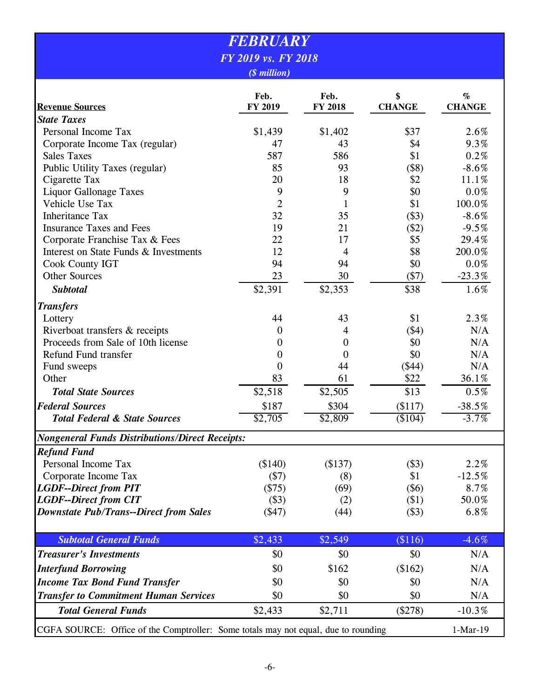| <b>FEBRUARY</b>                                                                    |                                   |                 |                     |                       |  |  |  |
|------------------------------------------------------------------------------------|-----------------------------------|-----------------|---------------------|-----------------------|--|--|--|
|                                                                                    | FY 2019 vs. FY 2018               |                 |                     |                       |  |  |  |
|                                                                                    | ( <i><i><i>s</i></i> million)</i> |                 |                     |                       |  |  |  |
| <b>Revenue Sources</b>                                                             | Feb.<br>FY 2019                   | Feb.<br>FY 2018 | \$<br><b>CHANGE</b> | $\%$<br><b>CHANGE</b> |  |  |  |
| <b>State Taxes</b>                                                                 |                                   |                 |                     |                       |  |  |  |
| Personal Income Tax                                                                | \$1,439                           | \$1,402         | \$37                | 2.6%                  |  |  |  |
| Corporate Income Tax (regular)                                                     | 47                                | 43              | \$4                 | 9.3%                  |  |  |  |
| <b>Sales Taxes</b>                                                                 | 587                               | 586             | \$1                 | 0.2%                  |  |  |  |
| Public Utility Taxes (regular)                                                     | 85                                | 93              | (\$8)               | $-8.6%$               |  |  |  |
| Cigarette Tax                                                                      | 20                                | 18              | \$2                 | 11.1%                 |  |  |  |
| <b>Liquor Gallonage Taxes</b>                                                      | 9                                 | 9               | \$0                 | $0.0\%$               |  |  |  |
| Vehicle Use Tax                                                                    | $\overline{2}$                    | $\mathbf{1}$    | \$1                 | 100.0%                |  |  |  |
| <b>Inheritance Tax</b>                                                             | 32                                | 35              | (\$3)               | $-8.6%$               |  |  |  |
| <b>Insurance Taxes and Fees</b>                                                    | 19                                | 21              | (\$2)               | $-9.5%$               |  |  |  |
| Corporate Franchise Tax & Fees                                                     | 22                                | 17              | \$5                 | 29.4%                 |  |  |  |
| Interest on State Funds & Investments                                              | 12                                | 4               | \$8                 | 200.0%                |  |  |  |
| <b>Cook County IGT</b>                                                             | 94                                | 94              | \$0                 | $0.0\%$               |  |  |  |
| <b>Other Sources</b>                                                               | 23                                | 30              | (\$7)               | $-23.3%$              |  |  |  |
| <b>Subtotal</b>                                                                    | \$2,391                           | \$2,353         | \$38                | 1.6%                  |  |  |  |
| <b>Transfers</b>                                                                   |                                   |                 |                     |                       |  |  |  |
| Lottery                                                                            | 44                                | 43              | \$1                 | 2.3%                  |  |  |  |
| Riverboat transfers & receipts                                                     | $\boldsymbol{0}$                  | 4               | (\$4)               | N/A                   |  |  |  |
| Proceeds from Sale of 10th license                                                 | $\theta$                          | $\overline{0}$  | \$0                 | N/A                   |  |  |  |
| Refund Fund transfer                                                               | $\theta$                          | 0               | \$0                 | N/A                   |  |  |  |
| Fund sweeps                                                                        | $\overline{0}$                    | 44              | (\$44)              | N/A                   |  |  |  |
| Other                                                                              | 83                                | 61              | \$22                | 36.1%                 |  |  |  |
| <b>Total State Sources</b>                                                         | \$2,518                           | \$2,505         | \$13                | 0.5%                  |  |  |  |
| <b>Federal Sources</b>                                                             | \$187                             | \$304           | (\$117)             | $-38.5%$              |  |  |  |
| <b>Total Federal &amp; State Sources</b>                                           | \$2,705                           | \$2,809         | (\$104)             | $-3.7\%$              |  |  |  |
| <b>Nongeneral Funds Distributions/Direct Receipts:</b>                             |                                   |                 |                     |                       |  |  |  |
| <b>Refund Fund</b>                                                                 |                                   |                 |                     |                       |  |  |  |
| Personal Income Tax                                                                | (\$140)                           | (\$137)         | (\$3)               | 2.2%                  |  |  |  |
| Corporate Income Tax                                                               | $(\$7)$                           | (8)             | \$1                 | $-12.5%$              |  |  |  |
| <b>LGDF--Direct from PIT</b>                                                       | $(\$75)$                          | (69)            | $(\$6)$             | 8.7%                  |  |  |  |
| <b>LGDF--Direct from CIT</b>                                                       | (\$3)                             | (2)             | (\$1)               | 50.0%                 |  |  |  |
| <b>Downstate Pub/Trans--Direct from Sales</b>                                      | $($ \$47)                         | (44)            | (\$3)               | 6.8%                  |  |  |  |
| <b>Subtotal General Funds</b>                                                      | \$2,433                           | \$2,549         | (\$116)             | $-4.6%$               |  |  |  |
| <b>Treasurer's Investments</b>                                                     | \$0                               | \$0             | \$0                 | N/A                   |  |  |  |
| <b>Interfund Borrowing</b>                                                         | \$0                               | \$162           | (\$162)             | N/A                   |  |  |  |
| <b>Income Tax Bond Fund Transfer</b>                                               | \$0                               | \$0             | \$0                 | N/A                   |  |  |  |
| <b>Transfer to Commitment Human Services</b>                                       | \$0                               | \$0             | \$0                 | N/A                   |  |  |  |
| <b>Total General Funds</b>                                                         | \$2,433                           | \$2,711         | (\$278)             | $-10.3%$              |  |  |  |
| CGFA SOURCE: Office of the Comptroller: Some totals may not equal, due to rounding |                                   |                 |                     | $1-Mar-19$            |  |  |  |